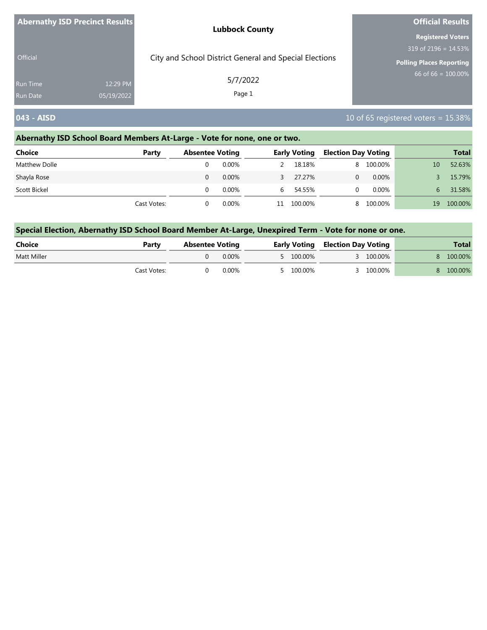| <b>Abernathy ISD Precinct Results</b> |            | <b>Lubbock County</b>                                  | <b>Official Results</b>         |  |  |
|---------------------------------------|------------|--------------------------------------------------------|---------------------------------|--|--|
|                                       |            |                                                        | <b>Registered Voters</b>        |  |  |
|                                       |            |                                                        | 319 of 2196 = 14.53%            |  |  |
| <b>Official</b>                       |            | City and School District General and Special Elections | <b>Polling Places Reporting</b> |  |  |
| <b>Run Time</b>                       | 12:29 PM   | 5/7/2022<br>Page 1                                     | 66 of 66 = $100.00\%$           |  |  |
| <b>Run Date</b>                       | 05/19/2022 |                                                        |                                 |  |  |

### **043 - AISD 10 of 65 registered voters = 15.38%**

### **Abernathy ISD School Board Members At-Large - Vote for none, one or two.**

| <b>Choice</b> | Party       | <b>Absentee Voting</b> |       | <b>Early Voting</b> |         | <b>Election Day Voting</b> |          |    | <b>Total</b> |
|---------------|-------------|------------------------|-------|---------------------|---------|----------------------------|----------|----|--------------|
| Matthew Dolle |             |                        | 0.00% |                     | 18.18%  | 8.                         | 100.00%  | 10 | 52.63%       |
| Shayla Rose   |             |                        | 0.00% | 3.                  | 27.27%  |                            | $0.00\%$ |    | 15.79%       |
| Scott Bickel  |             |                        | 0.00% | 6                   | 54.55%  |                            | $0.00\%$ | 6  | 31.58%       |
|               | Cast Votes: |                        | 0.00% | 11                  | 100.00% | 8.                         | 100.00%  | 19 | 100.00%      |

| Choice      | Party       | <b>Absentee Voting</b> |          |  |           | <b>Early Voting Election Day Voting</b> |           | <b>Total</b> |
|-------------|-------------|------------------------|----------|--|-----------|-----------------------------------------|-----------|--------------|
| Matt Miller |             |                        | $0.00\%$ |  | 5 100.00% |                                         | 3 100.00% | 8 100.00%    |
|             | Cast Votes: |                        | 0.00%    |  | 5 100.00% |                                         | 100.00%   | 8 100.00%    |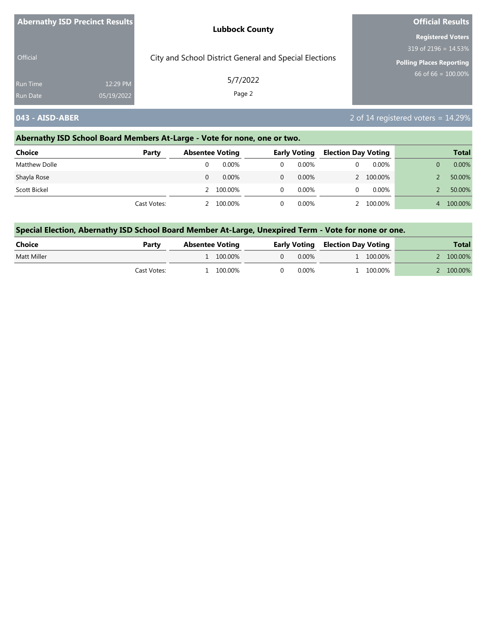| <b>Abernathy ISD Precinct Results</b> |            | <b>Lubbock County</b>                                  | <b>Official Results</b>         |  |  |
|---------------------------------------|------------|--------------------------------------------------------|---------------------------------|--|--|
|                                       |            |                                                        | <b>Registered Voters</b>        |  |  |
|                                       |            |                                                        | $319$ of 2196 = 14.53%          |  |  |
| Official                              |            | City and School District General and Special Elections | <b>Polling Places Reporting</b> |  |  |
| <b>Run Time</b>                       | 12:29 PM   | 5/7/2022                                               | 66 of 66 = $100.00\%$           |  |  |
| <b>Run Date</b>                       | 05/19/2022 | Page 2                                                 |                                 |  |  |

### **043 - AISD-ABER** 2 of 14 registered voters = 14.29%

### **Abernathy ISD School Board Members At-Large - Vote for none, one or two.**

| <b>Choice</b> | Party       | <b>Absentee Voting</b> |   | <b>Early Voting</b> |  | <b>Election Day Voting</b> |   | <b>Total</b> |
|---------------|-------------|------------------------|---|---------------------|--|----------------------------|---|--------------|
| Matthew Dolle |             | $0.00\%$               |   | 0.00%               |  | $0.00\%$                   |   | 0.00%        |
| Shayla Rose   |             | 0.00%                  |   | $0.00\%$            |  | 100.00%                    |   | 50.00%       |
| Scott Bickel  |             | 100.00%                | 0 | 0.00%               |  | $0.00\%$                   |   | 50.00%       |
|               | Cast Votes: | 100.00%                |   | 0.00%               |  | 100.00%                    | 4 | 100.00%      |

| Choice      | Party       | <b>Absentee Voting</b> |          |       |  | <b>Early Voting Election Day Voting</b> |           |  |  |  | <b>Total</b> |
|-------------|-------------|------------------------|----------|-------|--|-----------------------------------------|-----------|--|--|--|--------------|
| Matt Miller |             | 1 100,00%              | $\Omega$ | 0.00% |  | 1 100.00%                               | 2 100.00% |  |  |  |              |
|             | Cast Votes: | 100.00%                |          | 0.00% |  | . 100.00%                               | 2 100.00% |  |  |  |              |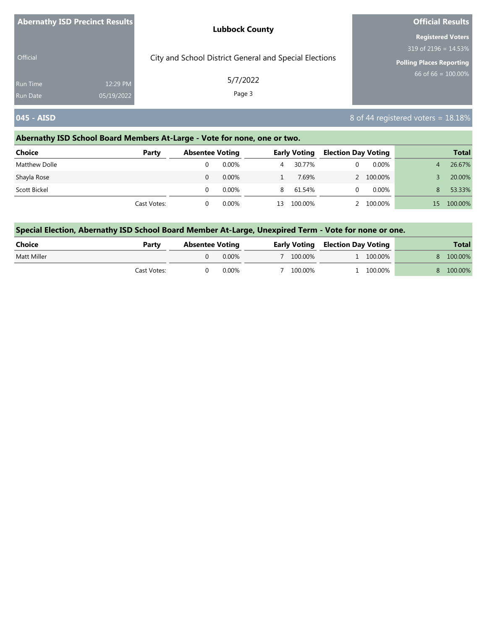| <b>Abernathy ISD Precinct Results</b> |            | <b>Lubbock County</b>                                  | <b>Official Results</b>         |  |  |
|---------------------------------------|------------|--------------------------------------------------------|---------------------------------|--|--|
|                                       |            |                                                        | <b>Registered Voters</b>        |  |  |
|                                       |            |                                                        | 319 of 2196 = $14.53\%$         |  |  |
| <b>Official</b>                       |            | City and School District General and Special Elections | <b>Polling Places Reporting</b> |  |  |
| <b>Run Time</b>                       | 12:29 PM   | 5/7/2022                                               | $66$ of 66 = 100.00%            |  |  |
| <b>Run Date</b>                       | 05/19/2022 | Page 3                                                 |                                 |  |  |

### **045 - AISD** 8 of 44 registered voters = 18.18%

### **Abernathy ISD School Board Members At-Large - Vote for none, one or two.**

| <b>Choice</b> | Party       | <b>Absentee Voting</b> |          |    | <b>Early Voting</b> | <b>Election Day Voting</b> |          |    | <b>Total</b> |
|---------------|-------------|------------------------|----------|----|---------------------|----------------------------|----------|----|--------------|
| Matthew Dolle |             |                        | $0.00\%$ | 4  | 30.77%              |                            | $0.00\%$ | 4  | 26.67%       |
| Shayla Rose   |             |                        | $0.00\%$ |    | 7.69%               |                            | 100.00%  |    | 20.00%       |
| Scott Bickel  |             |                        | $0.00\%$ | 8  | 61.54%              |                            | $0.00\%$ | 8  | 53.33%       |
|               | Cast Votes: |                        | 0.00%    | 13 | 100.00%             |                            | 100.00%  | 15 | 100.00%      |

| Choice      | Party       | <b>Absentee Voting</b> |          |  |         | <b>Early Voting Election Day Voting</b> |           | <b>Total</b> |
|-------------|-------------|------------------------|----------|--|---------|-----------------------------------------|-----------|--------------|
| Matt Miller |             |                        | $0.00\%$ |  | 100.00% |                                         | 1 100.00% | 8 100.00%    |
|             | Cast Votes: |                        | $0.00\%$ |  | 100.00% |                                         | 100.00%   | 8 100.00%    |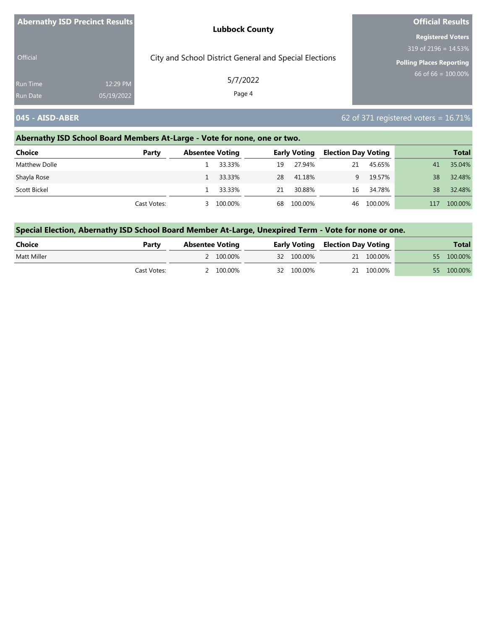| Abernathy ISD Precinct Results |            | <b>Lubbock County</b>                                  | <b>Official Results</b>  |  |  |
|--------------------------------|------------|--------------------------------------------------------|--------------------------|--|--|
|                                |            |                                                        | <b>Registered Voters</b> |  |  |
|                                |            |                                                        | 319 of 2196 = $14.53\%$  |  |  |
| <b>Official</b>                |            | City and School District General and Special Elections | Polling Places Reporting |  |  |
| <b>Run Time</b>                | 12:29 PM   | 5/7/2022                                               | 66 of 66 = $100.00\%$    |  |  |
| Run Date                       | 05/19/2022 | Page 4                                                 |                          |  |  |

### **045 - AISD-ABER** 62 of 371 registered voters = 16.71%

### **Abernathy ISD School Board Members At-Large - Vote for none, one or two.**

| <b>Choice</b> | Party       | <b>Absentee Voting</b> |          |    | <b>Early Voting</b> | <b>Election Day Voting</b> |            |     | <b>Total</b> |
|---------------|-------------|------------------------|----------|----|---------------------|----------------------------|------------|-----|--------------|
| Matthew Dolle |             |                        | 33.33%   | 19 | 27.94%              | 21                         | 45.65%     | 41  | 35.04%       |
| Shayla Rose   |             |                        | 1 33.33% | 28 | 41.18%              | q.                         | 19.57%     | 38  | 32.48%       |
| Scott Bickel  |             |                        | 33.33%   | 21 | 30.88%              | 16                         | 34.78%     | 38  | 32.48%       |
|               | Cast Votes: |                        | 100.00%  | 68 | 100.00%             |                            | 46 100.00% | 117 | 100.00%      |

| Choice      | Party       | <b>Absentee Voting</b> |           |  |            |  |            |            |  | <b>Early Voting Election Day Voting</b> |  | <b>Total</b> |
|-------------|-------------|------------------------|-----------|--|------------|--|------------|------------|--|-----------------------------------------|--|--------------|
| Matt Miller |             |                        | 2 100.00% |  | 32 100.00% |  | 21 100.00% | 55 100.00% |  |                                         |  |              |
|             | Cast Votes: |                        | 2 100.00% |  | 32 100.00% |  | 21 100.00% | 55 100.00% |  |                                         |  |              |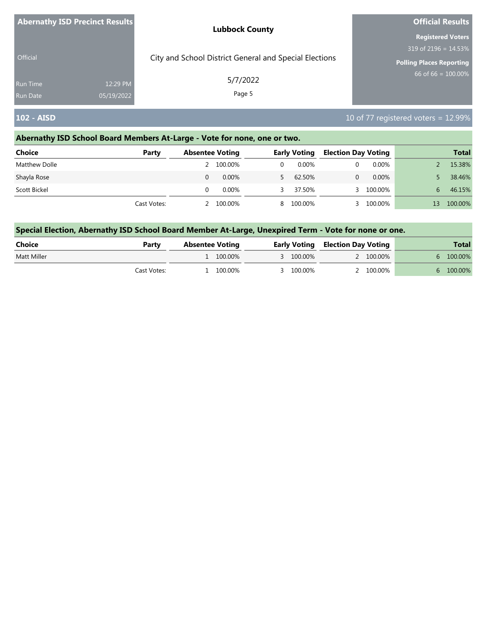| <b>Abernathy ISD Precinct Results</b> | <b>Lubbock County</b>                                  | <b>Official Results</b>  |  |  |
|---------------------------------------|--------------------------------------------------------|--------------------------|--|--|
|                                       |                                                        | <b>Registered Voters</b> |  |  |
|                                       |                                                        | 319 of 2196 = $14.53\%$  |  |  |
| <b>Official</b>                       | City and School District General and Special Elections | Polling Places Reporting |  |  |
| <b>Run Time</b><br>12:29 PM           | 5/7/2022                                               | 66 of 66 = $100.00\%$    |  |  |
| <b>Run Date</b><br>05/19/2022         | Page 5                                                 |                          |  |  |

### **102 - AISD** 102 - **AISD** 102 - **AISD** 102 - **AISD** 10 of 77 registered voters = 12.99%

### **Abernathy ISD School Board Members At-Large - Vote for none, one or two.**

| <b>Choice</b> | Party       | <b>Absentee Voting</b> |           | <b>Early Voting</b> |           | <b>Election Day Voting</b> |          | <b>Total</b> |         |
|---------------|-------------|------------------------|-----------|---------------------|-----------|----------------------------|----------|--------------|---------|
| Matthew Dolle |             |                        | 2 100.00% |                     | 0.00%     |                            | $0.00\%$ |              | 15.38%  |
| Shayla Rose   |             |                        | 0.00%     |                     | 62.50%    |                            | $0.00\%$ |              | 38.46%  |
| Scott Bickel  |             |                        | 0.00%     |                     | 37.50%    |                            | 100.00%  | 6.           | 46.15%  |
|               | Cast Votes: |                        | 2 100.00% |                     | 8 100.00% |                            | 100.00%  | $13^{\circ}$ | 100.00% |

| Choice      | Party       | <b>Absentee Voting</b> |            |  |           | <b>Early Voting Election Day Voting</b> |           | <b>Total</b> |           |
|-------------|-------------|------------------------|------------|--|-----------|-----------------------------------------|-----------|--------------|-----------|
| Matt Miller |             |                        | 1 100,00%  |  | 3 100.00% |                                         | 2 100.00% |              | 6 100.00% |
|             | Cast Votes: |                        | $100.00\%$ |  | 3 100.00% |                                         | 2 100.00% |              | 6 100.00% |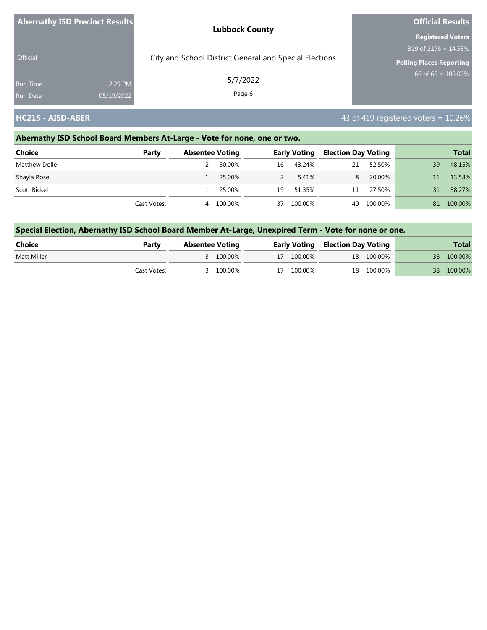|                 | Abernathy ISD Precinct Results | <b>Lubbock County</b>                                  | <b>Official Results</b>         |  |  |
|-----------------|--------------------------------|--------------------------------------------------------|---------------------------------|--|--|
|                 |                                |                                                        | <b>Registered Voters</b>        |  |  |
| <b>Official</b> |                                | City and School District General and Special Elections | 319 of 2196 = 14.53%            |  |  |
|                 |                                |                                                        | <b>Polling Places Reporting</b> |  |  |
| <b>Run Time</b> | 12:29 PM                       | 5/7/2022                                               | 66 of 66 = $100.00\%$           |  |  |
| <b>Run Date</b> | 05/19/2022                     | Page 6                                                 |                                 |  |  |

**HC215 - AISD-ABER** 43 of 419 registered voters = 10.26%

# **Abernathy ISD School Board Members At-Large - Vote for none, one or two.**

| <b>Choice</b> | Party       |   | <b>Absentee Voting</b> |               | <b>Early Voting</b> | <b>Election Day Voting</b> |            |    | <b>Total</b> |
|---------------|-------------|---|------------------------|---------------|---------------------|----------------------------|------------|----|--------------|
| Matthew Dolle |             |   | 50.00%                 | 16            | 43.24%              | 21                         | 52.50%     | 39 | 48.15%       |
| Shayla Rose   |             |   | 25.00%                 | $\mathcal{L}$ | 5.41%               | 8.                         | 20.00%     |    | 13.58%       |
| Scott Bickel  |             |   | 25.00%                 | 19            | 51.35%              | 11                         | 27.50%     | 31 | 38.27%       |
|               | Cast Votes: | 4 | 100.00%                | 37            | 100.00%             |                            | 40 100.00% | 81 | 100.00%      |

| Choice      | Party       | <b>Absentee Voting</b> |           |  |            | <b>Early Voting Election Day Voting</b> |            | <b>Total</b> |
|-------------|-------------|------------------------|-----------|--|------------|-----------------------------------------|------------|--------------|
| Matt Miller |             |                        | 3 100.00% |  | 17 100.00% |                                         | 18 100.00% | 38 100.00%   |
|             | Cast Votes: |                        | 3 100.00% |  | 17 100.00% |                                         | 18 100.00% | 38 100.00%   |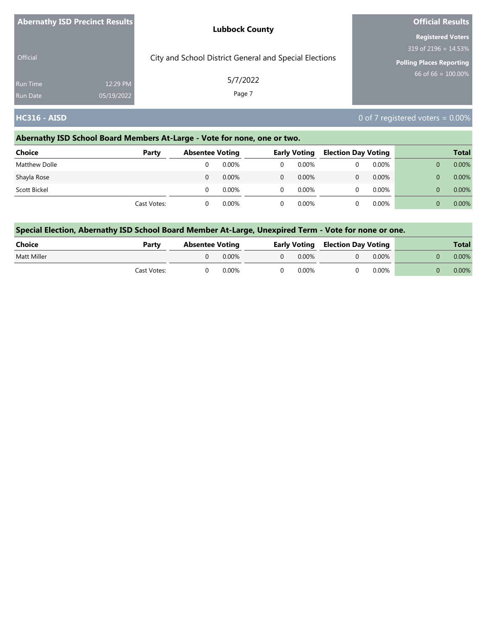|                 | <b>Abernathy ISD Precinct Results</b> | <b>Lubbock County</b>                                  | <b>Official Results</b>         |
|-----------------|---------------------------------------|--------------------------------------------------------|---------------------------------|
|                 |                                       |                                                        | <b>Registered Voters</b>        |
|                 |                                       |                                                        | $319$ of 2196 = 14.53%          |
| Official        |                                       | City and School District General and Special Elections | <b>Polling Places Reporting</b> |
| Run Time        | 12:29 PM                              | 5/7/2022                                               | $66$ of 66 = $100.00\%$         |
| <b>Run Date</b> | 05/19/2022                            | Page 7                                                 |                                 |

### **HC316 - AISD** 0 of 7 registered voters = 0.00%

### **Abernathy ISD School Board Members At-Large - Vote for none, one or two.**

| <b>Choice</b> | Party       | <b>Absentee Voting</b> |          | <b>Early Voting</b> |          | <b>Election Day Voting</b> |          | <b>Total</b> |
|---------------|-------------|------------------------|----------|---------------------|----------|----------------------------|----------|--------------|
| Matthew Dolle |             |                        | $0.00\%$ |                     | $0.00\%$ |                            | $0.00\%$ | 0.00%        |
| Shayla Rose   |             | 0                      | 0.00%    | 0                   | $0.00\%$ |                            | 0.00%    | 0.00%        |
| Scott Bickel  |             |                        | $0.00\%$ |                     | $0.00\%$ |                            | $0.00\%$ | 0.00%        |
|               | Cast Votes: |                        | 0.00%    |                     | $0.00\%$ |                            | $0.00\%$ | 0.00%        |

| Choice      | Party       | <b>Absentee Voting</b> |          |  |          | <b>Early Voting Election Day Voting</b> |       | Total |
|-------------|-------------|------------------------|----------|--|----------|-----------------------------------------|-------|-------|
| Matt Miller |             |                        | $0.00\%$ |  | $0.00\%$ |                                         | 0.00% | 0.00% |
|             | Cast Votes: |                        | 0.00%    |  | 0.00%    |                                         | 0.00% | 0.00% |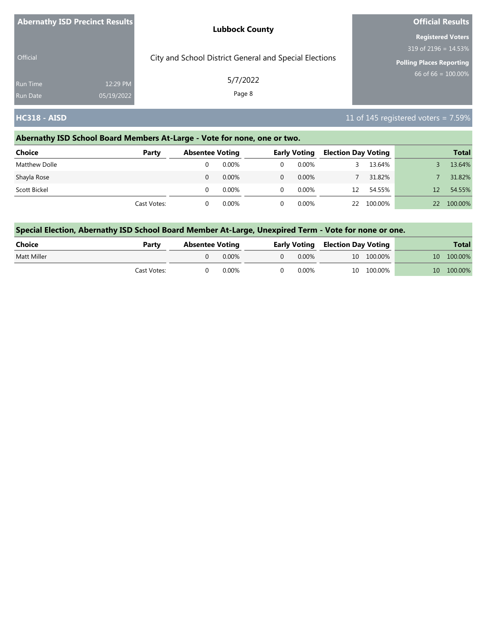| Abernathy ISD Precinct Results |            | <b>Lubbock County</b>                                  | <b>Official Results</b>         |  |  |
|--------------------------------|------------|--------------------------------------------------------|---------------------------------|--|--|
|                                |            |                                                        | <b>Registered Voters</b>        |  |  |
|                                |            |                                                        | 319 of 2196 = 14.53%            |  |  |
| <b>Official</b>                |            | City and School District General and Special Elections | <b>Polling Places Reporting</b> |  |  |
| <b>Run Time</b>                | 12:29 PM   | 5/7/2022                                               | $66$ of 66 = 100.00%            |  |  |
| <b>Run Date</b>                | 05/19/2022 | Page 8                                                 |                                 |  |  |

### **HC318 - AISD** 11 of 145 registered voters = 7.59%

### **Abernathy ISD School Board Members At-Large - Vote for none, one or two.**

| <b>Choice</b> | Party       | <b>Absentee Voting</b> |          | <b>Early Voting</b> |          | <b>Election Day Voting</b> |         |    | <b>Total</b> |
|---------------|-------------|------------------------|----------|---------------------|----------|----------------------------|---------|----|--------------|
| Matthew Dolle |             |                        | 0.00%    |                     | $0.00\%$ |                            | 13.64%  |    | 13.64%       |
| Shayla Rose   |             | 0                      | $0.00\%$ | 0                   | $0.00\%$ |                            | 31.82%  |    | 31.82%       |
| Scott Bickel  |             |                        | $0.00\%$ | 0                   | $0.00\%$ | 12                         | 54.55%  | 12 | 54.55%       |
|               | Cast Votes: |                        | $0.00\%$ |                     | $0.00\%$ | 22                         | 100.00% | 22 | 100.00%      |

| Choice      | Party       | <b>Absentee Voting</b> |          |  |       | <b>Early Voting Election Day Voting</b> |            | Total      |
|-------------|-------------|------------------------|----------|--|-------|-----------------------------------------|------------|------------|
| Matt Miller |             |                        | 0.00%    |  | 0.00% |                                         | 10 100.00% | 10 100.00% |
|             | Cast Votes: |                        | $0.00\%$ |  | 0.00% |                                         | 10 100.00% | 10 100.00% |